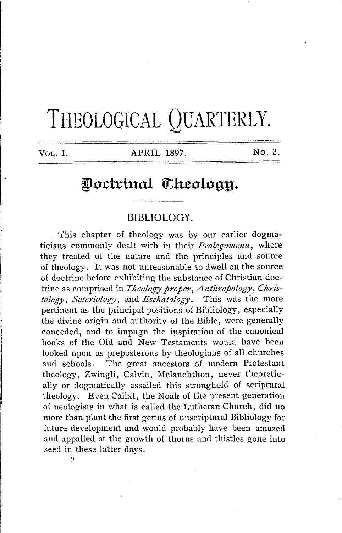# THEOLOGICAL QUARTERLY.

VOL. I. APRIL 1897. No. 2.

## Doctrinal Theology.

#### **BIBLIOLOGY.**

This chapter of theology was by our earlier dogmaticians commonly dealt with in their *Prolegomena;* where they treated of the nature and the principles and source of theology. It was not unreasonable to dwell on the source of doctrine before exhibiting the substance of Christian doctrine as comprised in *Theology proper*, Anthropology, Chris*tology, Soteriology,* and *Esclzatology.* This was the more pertinent as the principal positions of Bibliology, especially the divine origin and authority of the Bible, were generally conceded, and to impugn the inspiration of the canonical books of the Old and New Testaments would have been looked upon as preposterous by theologians of all churches and schools. The great ancestors of modern Protestant theology, Zwingli, Calvin, Melanchthon, never theoretically or dogmatically assailed this stronghold of scriptural theology. Even Calixt, the Noah of the present generation of neologists in what is called the Lutheran Church, did no more than plant the first germs of unscriptural Bibliology for future development and would probably have been amazed and appalled at the growth of thorns and thistles gone into seed in these latter days.

9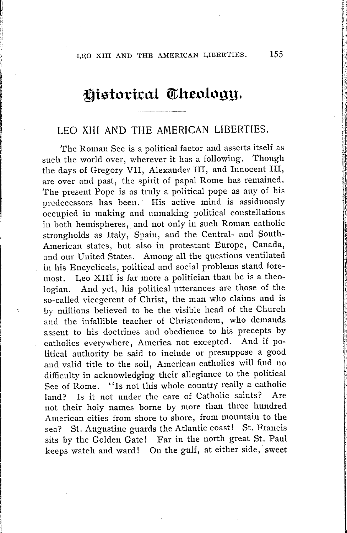## historical Theology.

### LEO XIII AND **THE** AMERICAN LIBERTIES.

The Roman See is a political factor and asserts itself as such the world over, wherever it has a following. Though the days of Gregory VII, Alexander III, and Innocent III, are over and past, the spirit of papal Rome has remained. 'I'he present Pope is as truly a political pope as any of his predecessors has been. His active mind is assiduously occupied in making and unmaking political constellations in both hemispheres, and not only in such Roman catholic strongholds as Italy, Spain, and the Central- and South-American states, but also in protestant Europe, Canada, and our United States. Among all the questions ventilated in his Encyclicals, political and social problems stand foremost. Leo XIII is far more a politician than he is a theologian. And yet, his political utterances are those of the so-called vicegerent of Christ, the man who claims and is by millions believed to be the visible head of the Church and the infallible teacher of Christendom, who demands assent to his doctrines and obedience to his precepts by catholics everywhere, America not excepted. And if political authority be said to include or presuppose a good and valid title to the soil, American catholics will find no difficulty in acknowledging their allegiance to the political See of Rome. "Is not this whole country really a catholic<br>land? Is it not under the care of Catholic saints? Are land? Is it not under the care of Catholic saints? not their holy names borne by more than three hundred American cities from shore to shore, from mountain to the sea? St. Augustine guards the Atlantic coast! St. Francis sits by the Golden Gate! Far in the north great St. Paul keeps watch and ward! On the gulf, at either side, sweet

.,, 'I' ,;:

·, I , ':I "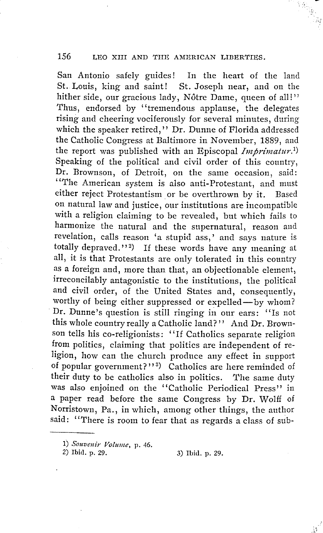San Antonio safely guides! In the heart of the land St. Louis, king and saint! St. Joseph near, and on the hither side, our gracious lady, Nôtre Dame, queen of all!" Thus, endorsed by "tremendous applause, the delegates rising and cheering vociferously for several minutes, during which the speaker retired," Dr. Dunne of Florida addressed the Catholic Congress at Baltimore in November, 1889, and the report was published with an Episcopal *Imprimatur*.<sup>1</sup>) Speaking of the political and civil order of this country, Dr. Brownson, of Detroit, on the same occasion, said: ''The American system is also anti-Protestant, and must either reject Protestantism or be overthrown by it. Based on natural law and justice, our institutions are incompatible with a religion claiming to be revealed, but which fails to harmonize the natural and the supernatural, reason and revelation, calls reason 'a stupid ass,' and says nature is totally depraved."<sup>2</sup>) If these words have any meaning at all, it is that Protestants are only tolerated in this country as a foreign and, more than that, an objectionable element, irreconcilably antagonistic to the institutions, the political and civil order, of the United States and, consequently, worthy of being either suppressed or expelled- by whom? · Dr. Dunne's question is still ringing in our ears: "Is not this whole country really a Catholic land?'' And Dr. Brownson tells his co-religionists: '' If Catholics separate religion from politics, claiming that politics are independent of religion, how can the church produce any effect in support of popular government?"<sup>3</sup>) Catholics are here reminded of their duty to be catholics also in politics. The same duty was also enjoined on the "Catholic Periodical Press" in a paper read before the same Congress by Dr. Wolff of Norristown, Pa., in which, among other things, the author said: "There is room to fear that as regards a class of sub-

2) Ibid. p. 29. 3) Ibid. p. 29.

l) *Souvenir Volume,* p. 46.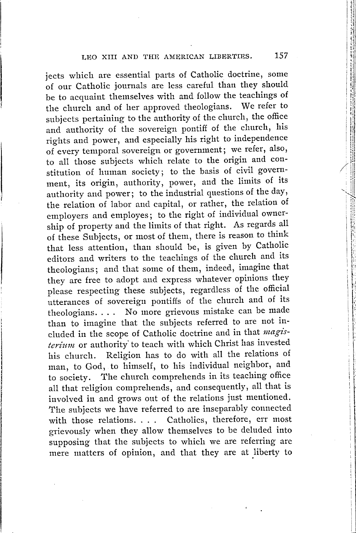jects which are essential parts of Catholic doctrine, some of our Catholic journals are less careful than they should be to acquaint themselves with and follow the teachings of the church and of her approved theologians. We refer to subjects pertaining to the authority of the church, the office and authority of the sovereign pontiff of the church, his rights and power, and especially his right to independence of every temporal sovereign or government; we refer, also, to all those subjects which relate to the origin and constitution of human society; to the basis of civil government, its origin, authority, power, and the limits of its authority and power; to the industrial questions of the day, the relation of labor and capital, or rather, the relation of employers and employes; to the right of individual ownership of property and the limits of that right. As regards all of these Subjects, or most of them, there is reason to think that less attention, than should be, is given by Catholic editors and writers to the teachings of the church and its theologians; and that some of them, indeed, imagine that they are free to adopt and express whatever opinions they please respecting these subjects, regardless of the official utterances of sovereign pontiffs of the church and of its theologians. . . . No more grievous mistake can be made than to imagine that the subjects referred to are not included in the scope of Catholic doctrine and in that magisterium or authority to teach with which Christ has invested his church. Religion has to do with all the relations of man, to God, to himself, to his individual neighbor, and to society. The church comprehends in its teaching office all that religion comprehends, and consequently, all that is involved in and grows out of the relations just mentioned. The subjects we have referred to are inseparably connected with those relations. . . . Catholics, therefore, err most grievously when they allow themselves to be deluded into supposing that the subjects to which we are referring are mere matters of opinion, and that they are at liberty to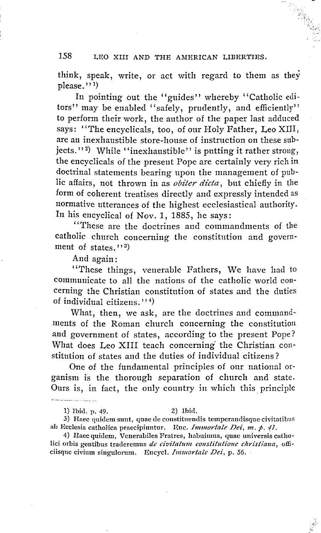think, speak, write, or act with regard to them as they please.''<sup>1</sup>

In pointing out the "guides" whereby "Catholic editors" may be enabled "safely, prudently, and efficiently" to perform their work, the author of the paper last adduced says: "The encyclicals, too, of our Holy Father, Leo XIII, are an inexhaustible store-house of instruction on these subjects."<sup>2</sup>) While "inexhaustible" is putting it rather strong, the encyclicals of the present Pope are certainly very rich in doctrinal statements bearing upon the management of public affairs, not thrown in as *obiter dicta,* but chiefly in the form of coherent treatises directly and expressly intended as normative utterances of the highest ecclesiastical authority. In his encyclical of Nov. 1, 1885, he says:

'"rhese are the doctrines and commandments of the catholic church concerning the constitution and government of states.'' $\frac{1}{3}$ 

And again:

"These things, venerable Fathers, We have had to communicate to all the nations of the catholic world concerning the Christian constitution of states and the duties of individual citizens."<sup>4</sup>

What, then, we ask, are the doctrines and commandments of the Roman church concerning the constitution and government of states, according to the present Pope? What does Leo XIII teach concerning' the Christian constitution of states and the duties of individual citizens?

One of the fundamental principles of our national organism is the thorough separation of church and state. Ours is, in fact, the only country in which this principle

1) Ibid. p. 49. 2) Ibid.

<u> Liberatur (</u>

3) Haec quidem sunt, quae de constituendis temperandisque civitatibus ah Ecclesia catholica praecipiuntur, Enc, *Innnortale Dei, m . p. 'fl.* 

4) Haec quidem, Venerabiles Fratres, habuimus, quae universis catholici orbis gentibus traderemus *de civitatum constitutione christiana*, officiisque civium singulorurn. Encycl. *Innnortalc Dei,* p. *56.*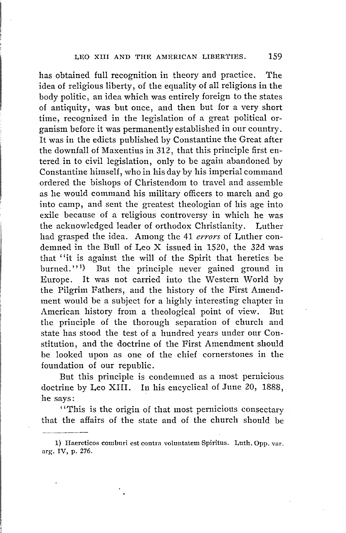has obtained full recognition in theory and practice. The idea of religious liberty, of the equality of all religions in the body politic, an idea which was entirely foreign to the states of antiquity, was but once, and then but for a very short time, recognized in the legislation of a great political organism before it was permanently established in our country. It was in the edicts published by Constantine the Great after the downfall of Maxentius in 312, that this principle first entered in to civil legislation, only to be again abandoned by Constantine himself, who in his day by his imperial command ordered the bishops of Christendom to travel and assemble as he would command his military officers to march and go into camp, and sent the greatest theologian of his age into exile because of a religious controversy in which he was the acknowledged leader of orthodox Christianity. Luther had grasped the idea. Among the 41 *errors* of Luther condemned in the Bull of Leo X issued in 1520, the 32d was that "it is against the will of the Spirit that heretics be burned. $'$ <sup>1)</sup> ) But the principle never gained ground in Europe. It was not carried into the Western World by the Pilgrim Fathers, and the history of the First Amendment would be a subject for a highly interesting chapter in American history from a theological point of view. But the principle of the thorough separation of church and state has stood the test of a hundred years under our Constitution, and the doctrine of the First Amendment should be looked upon as one of the chief cornerstones in the foundation of our republic.

But this principle is condemned as a most pernicious doctrine by Leo XIII. In his encyclical of June 20, 1888, he says:

''This is the origin of that most pernicious consectary that the affairs of the state and of the church should be

<sup>1)</sup> Haereticos couiburi est contra voluntatem Spiritus. Luth. Opp. var. arg. IV, p. 276.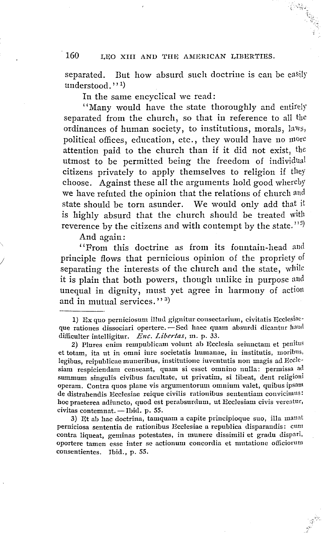separated. But how absurd such doctrine is can be easily understood."<sup>1</sup>

In the same encyclical we read:

''Many would have the state thoroughly and entirely separated from the church, so that in reference to all the ordinances of human society, to institutions, morals, laws, political offices, education, etc., they would have no more attention paid to the church than if it did not exist, the utmost to be permitted being the freedom of individual citizens privately to apply themselves to religion if they choose. Against these all the arguments hold good whereby we have refuted the opinion that the relations of church aud state should be torn asunder. We would only add that it is highly absurd that the church should be treated with reverence by the citizens and with contempt by the state.''<sup>2)</sup>

And again:

*I* 

"From this doctrine as from its fountain-head and principle flows that pernicious opinion of the propriety of separating the interests of the church and the state, while it is plain that both powers, though unlike in purpose and unequal in dignity, must yet agree in harmony of action and in mutual services.'' $^{3)}$ 

3) Et ab hac doctrina, tamquam a capite principioque suo, illa manat perniciosa sententia de rationibus Ecclcsiac a republica disparandis: cum contra liqueat, geminas potestates, in munere dissimili et gradu disparl. oportere tamen esse inter se actionum concordia et mutatione officioruru consentientes. Ibid., p. 55.

<sup>1)</sup>  $Ex$  quo perniciosum illud gignitur consectarium, civitatis Ecclesiaeque rationes dissociari opertere. - Sed haec quam absurdi dicantur haud difficulter intelligitur. *Enc. Libertas,* m. p. 33.

<sup>2)</sup> Plures enim rempublicam volunt ab Ecclesia seiunctam et penitus et totam, ita ut in omni iure societatis humanae, in institutis, moribus, legibus, reipublicae muneribus, institutione iuventutis non magis ad Ecclesiam respiciendam censeant, quam si esset omnino nulla: permissa ad summum singulis civibus facultate, ut privatim, si libeat, dent religioni operam. Contra quos plane vis argumentorum omnium valet, quibus ipsam de distrahendis Ecclesiae reique civilis rationibus sententiam convicimus: hoc praeterea adiuncto, quod est perabsurdum, ut Ecclesiam civis vereatur,<br>civitas contemnat. --Ibid. p. 55.<br>2. N. Y. W. White contemnation and contemnational and the manner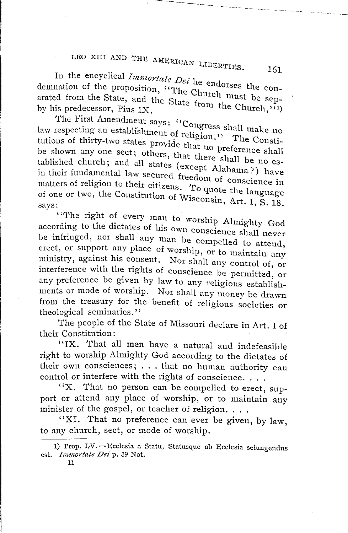------ ---- ---

In the encyclical *Immortale Dei* he endors and leader demnation of the proposition, "The Church must be separated from the State, and the State from the Church  $\frac{1}{10}$  is predecessor, Pius IX.

The First Amendment says: "Conore law respecting an establishment of religion." tutions of thirty-two states provide that no preference shall  $\frac{a}{c}$  . The be shown any one sect; others, that there shall be no established church; and all states (except Alabama?) have in their fundamental law secured freedom of conscience in<br>matters of religion to their citicans on the conscience in matters of religion to their citizens. To quote the language<br>of one or two, the Constitution of W. of one or two, the Constitution of Wisconsin, Art. I, S. 18.<br>says:

says:<br>"The right of every man to worship Almighty God" according to the dictates of his own conscience shall never be infringed, nor shall any man be compelled to attend, erect, or support any place of worship, or to maintain any ministry, against his consent. Nor shall any control of, or interference with the rights of conscience be permitted, or any preference be given by law to any religious establishments or mode of worship. Nor shall any money be drawn from the treasury for the benefit of religious societies or theological seminaries."

The people of the State of Missouri declare in Art. I of their Constitution:

'' IX. That all men have a natural and indefeasible right to worship Almighty God according to the dictates of their own consciences; . . . that no human authority can their own consciences;  $\dots$  that no human authority can control or interfere with the rights of conscience.  $\dots$ 

''X. That no person can be compelled to erect, support or attend any place of worship, or to maintain any minister of the gospel, or teacher of religion. . . .

"XI. That no preference can ever be given, by law, to any church, sect, or mode of worship.

<sup>1)</sup> Prop. LV.-Ecclesia a Statu, Statusque ab Ecclesia seiungendus est. *Inunortate Dei* p. *39* Not.

<sup>11</sup>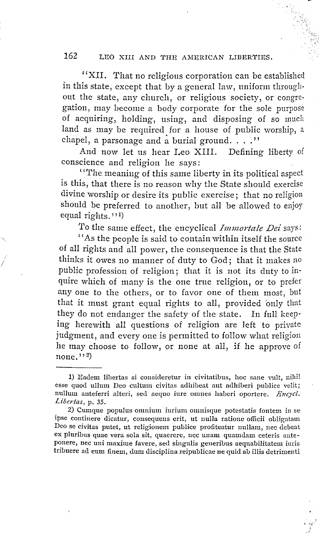"XII. That no religious corporation can be established in this state, except that by a general law, uniform through· out the state, any church, or religious society, or congregation, may become a body corporate for the sole purpose of acquiring, holding, using, and disposing of so much land as may be required for a house of public worship, a chapel, a parsonage and a burial ground.  $\ldots$ .''

And now let us hear Leo XIII. Defining liberty of conscience and religion he says:

''The meaning of this same liberty in its political aspect is this, that there is no reason why the State should exercise divine worship or desire its public exercise; that no religion should be preferred to another, but all be allowed *to* enjoy equal rights."<sup>1</sup>)

To the same effect, the encyclical *Immortale Dei* says:

"As the people is said to contain within itself the source of all rights and all power, the consequence is that the State thinks it owes no manner of duty to God; that it makes no public profession of religion; that it is not its duty to in· quire which of many is the one true religion, or to prefer any one to the others, or to favor one of them most, but that it must grant equal rights to all, provided 'only that they do not endanger the safety of the state. In full keep· ing herewith all questions of religion are left to private judgment, and every one is permitted to follow what religion he may choose to follow, or none at all, if he approve of  $none.^{1,2})$ 

<sup>1)</sup> Eadem libertas si cousideretur in civitatibus, hoc sane vult, nihil esse quod ullum Deo cultum civitas adhibeat aut adhiberi publice velit; nullum anteferri alteri, sed aequo iure omnes haberi oportere. *Encycl*. *Libertas,* p. 35.

<sup>2)</sup> Cumque populus omnium iurium omnisque potestatis fontem in se ipse continere dicatur, consequens erit, ut nulla ratione officii obligatam Deo se civitas putet, ut religionem publice profiteatur nullam, nee clebeat ex pluribus quae vera sola sit, quaerere, nee unam quamdam ceteris anteponere, nec uni maxime favere, sed singulis generibus aequabilitatem iuris tribuere ad eum finem, dum disciplina reipublicae ne quid ab illis detrimenti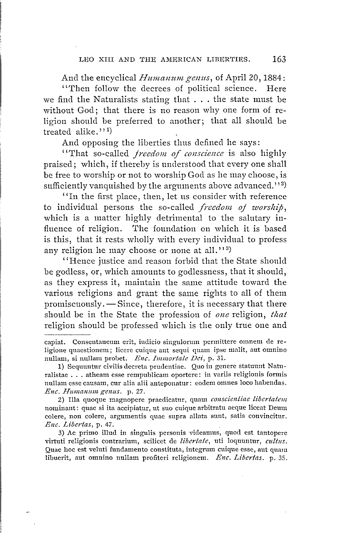And the encyclical *Humanum genus*, of April 20, 1884: ''Then follow the decrees of political science. Here we find the Naturalists stating that ... the state must be without God; that there is no reason why one form of religion should be preferred to another; that all should be treated alike."<sup>1</sup>

And opposing the liberties thus defined he says:

"That so-called *freedom of conscience* is also highly praised; which, if thereby is understood that every one shall be free to worship or not to worship God as he may choose, is sufficiently vanquished by the arguments above advanced.">2)

''In the first place, then, let us consider with reference to individual persons the so-called *freedom of worship*, which is a matter highly detrimental to the salutary influence of religion. The foundation on which it is based is this, that it rests wholly with every individual to profess any religion he may choose or none at all."3)

''Hence justice and reason forbid that the State should be godless, or, which amounts to godlessness, that it should, as they express it, maintain the same attitude toward the various religions and grant the same rights to all of them promiscuously.  $-\text{Since}$ , therefore, it is necessary that there should be in the State the profession of *one* religion, *that*  religion should be professed which is the only true one and

2) Illa quoque magnopere praedicatur, quam *conscicniiae libertatent*  nominant: quae si ita accipiatur, ut suo cuique arbitratu aeque liceat Deum colere, non colere, argumentis quae supra allata sunt, satis convincitur. *Enc. Libertas,* p. 47.

3) Ac primo illud in singulis personis videamus, quod est tantopere virtuti religionis contrarium, scilicet de libertate, uti loquuntur, cultus. Quae hoc est veluti fundamento constituta, integrum cuique esse, aut quam libuerit, aut omnino nullam profiteri religionem. *Enc. Libertas*. p. 35.

capiat. Consentaneum erit, iudicio singulorum permittere omnern de religione quaestionem; licere cuique ant seqni quam ipse malit, aut omnino nullam, si nullam probet. *Enc. Immortale Dci*, p. 31.

<sup>1)</sup> Sequuntur civilis decreta prudentiae. Quo in genere statuunt Naturalistae ... atheam esse rempuhlicam oportere: in variis religionis formis nullam esse causam, cur alia alii anteponatur: eodem omnes loco habendas. *Enc. Humanum genus.* p. 27.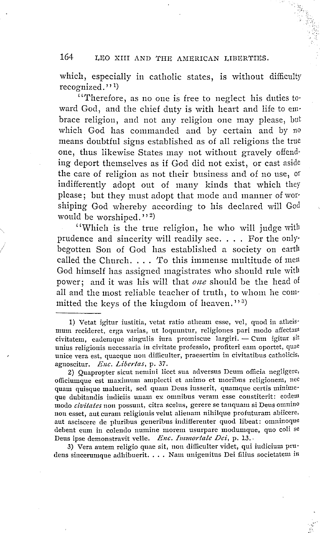which, especially in catholic states, is without difficulty recognized.''<sup>1</sup>

''Therefore, as no one is free to neglect his duties toward God, and the chief duty is with heart and life to embrace religion, and not any religion one may please, but which God has commanded and by certain and by <sup>110</sup> means doubtful signs established as of all religions the true one, thus likewise States may not without gravely offend· ing deport themselves as if God did not exist, or cast aside the care of religion as not their business and of no use, or indifferently adopt out of many kinds that which they please; but they must adopt that mode and manner of worshiping God whereby according to his declared will God would be worshiped."<sup>2</sup>

''Which. is the true religion, he who will judge with prudence and sincerity will readily see. . . . For the only· begotten Son of God has established a society on earth called the Church. . . . To this immense multitude of men God himself has assigned magistrates who should rule with power; and it was his will that *one* should be the head of all and the most reliable teacher of truth, to whom he committed the keys of the kingdom of heaven."<sup>3</sup>

*I I* 

3) Vera autem religio quae sit, non difficulter videt, qui iudicium prudens sincerumque adhibuerit. . . . Nam unigenitus Dei filius societatem in

<sup>1)</sup> Vetat igitur iustitia, vetat ratio atheam esse, vel, quod in atheismum recideret, erga varias, ut Ioquuntur, religiones pari modo affectain civitatem, eademque singulis iura promiscue largiri. - Cum igitur sit unius religionis uccessaria in civitate professio, profiteri eam oportet, quae unice vera est, quaeque non difficulter, praesertim in civitatibus catholicis, agnoscitur. *Enc. Lioertas,* p. 37.

<sup>2)</sup> Quapropter sicut nemini licet sua adversus Deurn officia negligere, officiumque est maximum amplecti et animo et moribus religionem, nec quam quisque maluerit, sed quam Deus iusserit, quamque certis minimeque dubitandis indiciis unam ex omnibus veram esse constiterit: eodem modo *civitates* non possunt, citra scelus, gerere se tanquam si Deus omnino non esset, aut curam religionis velut alienam nihilque profuturam abiicere, aut asciscere de pluribus generibus indifferenter quod libeat: omninoque debent eum in colendo nunrine morem usurpare modumque, quo coli se Deus ipse demonstravit velle. *Enc. Immortale Dei*, p. 13.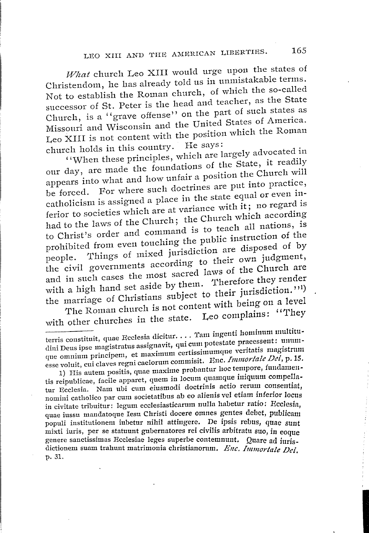What church Leo XIII would urge upon the states of Christendom., he has already told us in unmistakable terms. Not to establish the Roman church, of which the so-called successor of St. Peter is the head and teacher, as the State Church, is a ''grave offense'' on the part of such states as Missouri and Wisconsin and the United States of America. Leo XIII is not content with the position which the Roman church holds in this country. He says:

''When these principles, which are largely advocated in our day, are made the foundations of the State, it readily appears into what and how unfair a position the Church will be forced. For where such doctrines are put into practice, catholicism is assigned a place in the state equal or even inferior to societies which are at variance with it; no regard is had to the laws of the Church; the Church which according to Christ's order and command is to teach all nations, is prohibited from even touching the public instruction of the people. Things of mixed jurisdiction are disposed of by the civil governments according to their own judgment, and in such cases the most sacred laws of the Church are and in such cases the most success.<br>with a high hand set aside by them. Therefore they render with a high nand set aside by<br>the marriage of Christians subject to their jurisdiction.''' The Roman church is not content with being on a level

with other churches in the state. Leo complains: ''They

terris constituit, quae Ecclesia dicitur. . . . Tam ingenti hominum multitudini Deus ipse magistratus assignavit, qui cum potestate praeessent: ununique omnium principem, et maximum certissimumque veritatis magistrum esse voluit, cui claves regni caelornm commisit. Enc. *Jmmorlale Dei,* p. *15.* 

1) His autem positis, quae maxime probantur hoc tempore, fundamentis reipublicae, facile apparet, quem in locum quamque iniquum compellatus reipublicae, facile apparet, quem in coemia quem actio rerum consentiat, nomini catholico par cum societatibus ab eo alienis vel etiam inferior locus in civitate tribuitur: legum ecclesiasticarum nulla habetur ratio: Ecclesia. quae iussu mandatoque Iesu Christi docere omnes gentes debet, publicam quae iussu manuatoque resu Cinisti doccre omnes genes docci, publicam populi institutionem iubetur nihil attingere. De ipsis rebus, quae sunt mixti iuris, per se statuunt gubernatores rei civilis arbitratu suo, in eoque genere sanctissimas Ecclesiae leges superbe contemnunt. Quare ad iurisdictionem suam trahunt matrimonia christianorum. *Enc. Immortale Dei*. p. 31.

I<br>I<br>I<br>I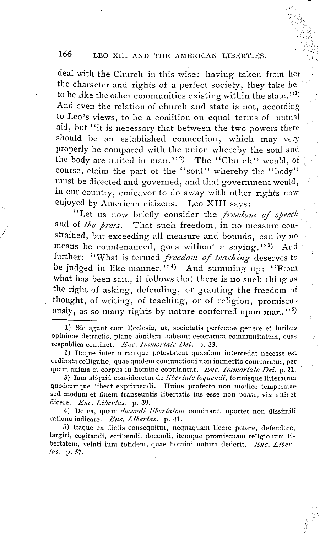deal with the Church in this wise: having taken from her the character and rights of a perfect society, they take her to be like the other communities existing within the state.''<sup>1)</sup> And even the relation of church and state is not, according to Leo's views, to be a coalition on equal terms of mutual aid, but "it is necessary that between the two powers there should be an established connection, which may very properly be compared with the union whereby the soul and the body are united in man."<sup>2</sup>) The "Church" would, of course, claim the part of the "soul" whereby the "body" must be directed and governed, and that government would, in our country, endeavor to do away with other rights now enjoyed by American citizens. Leo XIII says:

"Let us now briefly consider the *freedom of speech* and of *the press*. That such freedom, in no measure constrained, but exceeding all measure and bounds, can by no. means be countenanced, goes without a saying."<sup>3</sup>) And further: "What is termed *freedom of teaching* deserves to be judged in like manner."<sup>1</sup> And summing up: "From what has been said, it follows that there is no such thing as the right of asking, defending, or granting the freedom of thought, of writing, of teaching, or of religion, promiscu-ously, as so many rights by nature conferred upon man."<sup>5)</sup>

*I* 

4) De ea, quam *docen di Iibertatens* nominant, oportet non dissimili ratione iudicare. *Enc. Libertas.* p. 41.

<sup>1)</sup> Sic agunt cum Ecclesia, ut, societatis perfectae genere et iuribus opinione detractis, plane similem habeant ceterarum communitatum, quas respublica continet. *Enc. Ininsartatc Dei.* p. *33.* 

<sup>2)</sup> Itaque inter utramque potestatem quaedam intercedat necesse est ordinata colligatio, quae quidem couiunctioni non immerito cornparatur, per quam anima et corpus in homine copulantur. *Enc. Inuuortale Dei.* p. 21.

<sup>3)</sup> Iam aliquid consideretur de *libertate loquendi*, formisque litterarum quodcumque libeat exprimendi. Huius profecto non modice temperatae sed modum et finem transeuntis libertatis ius esse non posse, vix attinet dicere. *Enc. Libertas.* p. 39.

<sup>5)</sup> Haque ex dictis consequitur, nequaquam licere petere, defendere, largiri, cogitandi, scribendi, docendi, itemque promiscuam religionum Iibertatem, veluti iura totidem, quae homini natura dederit. *Enc. Libertas.* p. 57.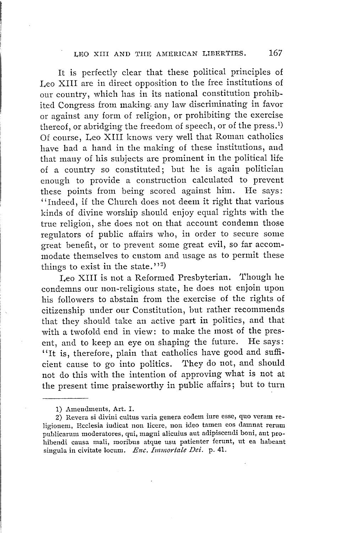It is perfectly clear that these political principles of Leo XIII are in direct opposition to the free institutions of our country, which has in its national constitution prohibited Congress from making. any law discriminating in favor or against any form of religion, or prohibiting the exercise thereof, or abridging the freedom of speech, or of the press.<sup>1</sup>) Of course, Leo XIII knows very well that Roman catholics have had a hand in the making of these institutions, and that many of his subjects are prominent in the political life of a country so constituted; but he is again politician enough to provide a construction calculated to prevent these points from being scored against him. He says: "Indeed, if the Church does not deem it right that various kinds of divine worship should enjoy equal rights with the true religion, she does not on that account condemn those regulators of public affairs who, in order to secure some great benefit, or to prevent some great evil, so far accommodate themselves to custom and usage as to permit these things to exist in the state.''<sup>2</sup>)

Leo XIII is not a Reformed Presbyterian. Though he condemns our non-religious state, he does not enjoin upon his followers to abstain from the exercise of the rights of citizenship under our Constitution, but rather recommends that they should take an active part in politics, and that with a twofold end in view: to make the most of the present, and to keep an eye on shaping the future. He says: "It is, therefore, plain that catholics have good and sufficient cause to go into politics. They do not, and should not do this with the intention of approving what is not at the present time praiseworthy in public affairs; but to turn

<sup>1)</sup> Amendments, Art. I.

<sup>2)</sup> Revera si divini cultus varia genera eodem iure esse, quo veram religionem, Ecclesia iudicat non licere, non ideo tamen eos damnat rerum puhlicarum moderatores, qui, magni alicuius aut adipiscendi boni, aut prohibendi causa mali, moribus atque usu patienter ferunt, ut ea habeant singula in civitate locum. *Enc. Immortale Dei.* p. 41.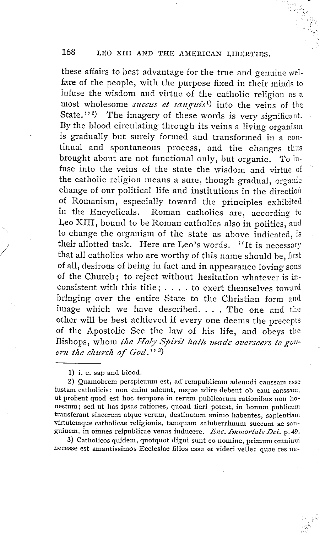these affairs to best advantage for the true and genuine welfare of the people, with the purpose fixed in their minds to infuse the wisdom and virtue of the catholic religion as a most wholesome *succus et sanguis*<sup>1</sup>) into the veins of the State."<sup>2</sup>) The imagery of these words is very significant. By the blood circulating through its veins a living organism is gradually but surely formed and transformed in a continual and spontaneous process, and the changes thus brought about are not functional only, but organic. To infuse into the veins of the state the wisdom and virtue of the catholic religion means a sure, though gradual, organic change of our political life and institutions in the direction of Romanism, especially toward the principles exhibited in the Encyclicals. Roman catholics are, according to Leo XIII, bound to be Roman catholics also in politics, and to change the organism of the state as above indicated, is their allotted task. Here are Leo's words. "It is necessary that all catholics who are worthy of this name should be, first of all, desirous of being in fact and in appearance loving sons of the Church; to reject without hesitation whatever is in-<br>consistent with this title; . . . . to exert themselves toward bringing over the entire State to the Christian form and consistent with this title;  $\dots$  to exert themselves toward<br>bringing over the entire State to the Christian form and<br>image which we have described.... The one and the other will be best achieved if every one deems the precepts of the Apostolic See the law of his life, and obeys the Bishops, whom *the Holy Spirit hath made overseers to gov-ern the church of God.''* <sup>3</sup> ern the church of  $God.^{v3}$ 

1) i. e. sap and blood.

*I* 

2) Quamobrem perspicuum est, ad' rempublicam adeundi caussam esse iustam catholicis: non enim adeunt, neque adire debent ob eam caussam, ut probent quod est hoc tempore in rerum publicarum rationibus non honestum; sed ut has ipsas rationes, quoad fieri potest, in bonum publicum transferant sincerurn atque verum, destinatum animo habentes, sapientiam virtutemque catholicae religionis, tamquam saluberrimum succum ac sanguinem, in omnes reipublicae venas inducerc, *Enc. Innuortate Dei.* p. 49.

3) Catholicos quidem, quotquot digni sunt eo nomine, primum omnium necesse est amantissimos Ecclesiae filios esse et videri velle: quae res ne-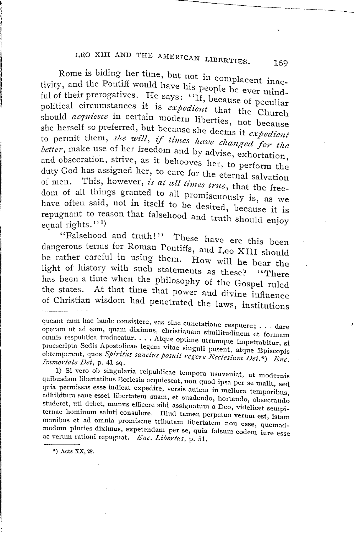Rome is biding her time, but not in complacent inactivity, and the Pontiff would have his people be ever mindful of their prerogatives. He says:  $``if, because of peculiar$ political circumstances it is *expedient* that the Church should *acquiesce* in certain modern liberties, not because she herself so preferred, but because she deems it *expedient*  to permit them, *she will, if times have changed for the better,* make use of her freedom and by advise, exhortation, and obsecration, strive, as it behooves her, to perform the duty God has assigned her, to care for the eternal salvation of men. This, however, *is at all times true,* that the freedom of all things granted to all promiscuously is, as we have often said, not in itself to be desired, because it is repugnant to reason that falsehood and truth should enjoy equal rights."<sup>1)</sup> 1 )

"Falsehood and truth!" These have ere this been dangerous terms for Roman Pontiffs, and Leo XIII should be rather careful in using them. How will he bear the light of history with such statements as these? "There has been a time when the philosophy of the Gospel ruled the states. At that time that power and divine influence of Christian wisdom had penetrated the laws, institutions

--------------·- --·--~---

queant cum hac laude consistere, eas sine cunctatione respuere; . . . dare operam ut ad earn, quam diximus, christianam similitudinem et formam omnis respublica traducatur. . . . Atque optime utrumque impetrabitur, si praescripta Sedis Apostolicae legem vitae singuli putent, atque Episcopis obtemperent, quos *Spiritus sanctus posuit regere Ecclesiam Dei.*\*) *Enc.*<br>Immortale Dei, p. 41 sq.

<sup>1)</sup> Si vero ob singularia reipublicae tempora usuveniat, ut modernis quibusdam libertatibus Ecclesia acquiescat, non quod ipsa per se malit, sed quia permissas esse iudicat expedire, versis autem in meliora temporibus, adhibitura sane esset libertatem suam, et suadendo, hortando, obsecrando studeret, uti debet, munus efficere sibi assignatum a Deo, videlicet sempiternae horuinum saluti consulere. Illud tarnen perpetuo verum est, istam omnibus et ad omnia promiscue tributam libertatem non esse, quemadmodum pluries diximus, expetendam per se, quia falsum eodem iure esse ac verum rationi repugnat. *Enc. Libertas,* p. 51.

<sup>\*)</sup> Acts XX, 28.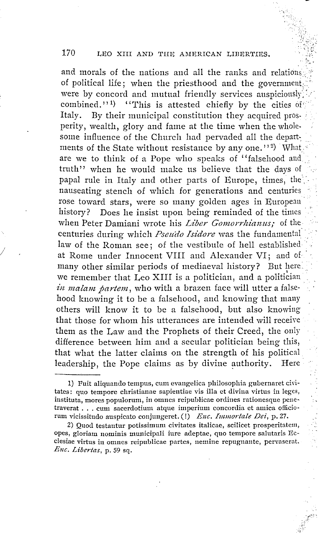and morals of the nations and all the ranks and relations of political life; when the priesthood and the government were by concord and mutual friendly services auspiciously combined.'' $1$ ) "This is attested chiefly by the cities of  $\mathcal{F}$ Italy. By their municipal constitution they acquired prosperity, wealth, glory and fame at the time when the wholesome influence of the Church had pervaded all the departments of the State without resistance by any one.''<sup>2</sup>) What are we to think of a Pope who speaks of "falsehood and truth'' when he would make us believe that the days of papal rule in Italy and other parts of Europe, times, the nauseating stench of which for generations and centuries rose toward stars, were so many golden ages in European history? Does he insist upon being reminded of the times when Peter Damiani wrote his *Liber Gomorrhianus*; of the centuries during which *Pseudo Isidore* was the fundamental· law of the Roman see; of the vestibule of hell established at Rome under Innocent VIII and Alexander VI; and of many other similar periods of mediaeval history? But here. we remember that Leo XIII is a politician, and a politician *in malam partem*, who with a brazen face will utter a falsehood knowing it to be a falsehood, and knowing that many others will know it to be a falsehood, but also knowing that those for whom his utterances are intended will receive them as the Law and the Prophets of their Creed, the only difference between him and a secular politician being this, that what the latter claims on the strength of his political leadership, the Pope claims as by divine authority. Here

/

<sup>1)</sup> Fuit aliquando tempus, cum evangelica philosophia gubernaret civitates: quo tempore christianae sapientiae vis illa et divina virtus in leges, instituta, mores populorum, in omnes reipuhlicae ordines rationesque penc-traverat ... cum sacerdotium atque imperium concordia et amica officiotraverat . . . cum sacerdotium atque imperium concordia et amica officio-<br>rum vicissitudo auspicato conjungeret. (!) *Enc. Immortale Dei*, p. 27.

<sup>2)</sup> Quod testantur potissimum civitates italicae, scilicet prosperitatem, opes, gloriam nominis municipali iure adeptae, quo tempore salutaris Eeclesiae virtus in onmes reipublicae partes, nernine repugnante, pervaserat. *Enc. Libertas,* p. 59 sq.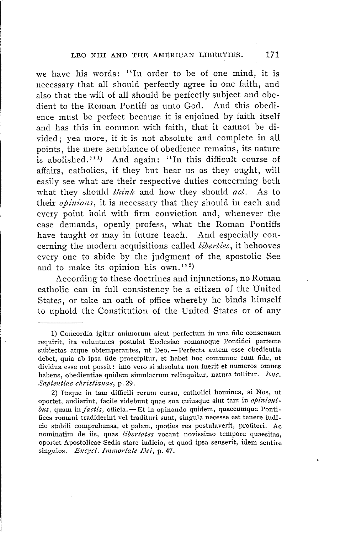we have his words: "In order to be of one mind, it is necessary that all should perfectly agree in one faith, and also that the will of all should be perfectly subject and obedient to the Roman Pontiff as unto God. And this obedience must be perfect because it is enjoined by faith itself and has this in common with faith, that it cannot be divided; yea more, if it is not absolute and complete in all points, the mere semblance of obedience remains, its nature is abolished."<sup>1</sup>) And again: "In this difficult course of affairs, catholics, if they but hear us as they ought, will easily see what are their respective duties concerning both what they should *think* and how they should *act.* As to their *opinions*, it is necessary that they should in each and every point hold with firm conviction and, whenever the case demands, openly profess, what the Roman Pontiffs have taught or may in future teach. And especially concerning the modern acquisitions called *liberties,* it behooves every one to abide by the judgment of the apostolic See and to make its opinion his  $own.'$ <sup>2</sup>)

According to these doctrines and injunctions, no Roman catholic can in full consistency be a citizen of the United States, or take an oath of office whereby he binds himself to uphold the Constitution of the United States or of any

2) Itaque in tam difficili rerum cursu, catholici homines, si Nos, ut oportet, audierint, facile videbunt quae sua cuiusque sint tam in *opinioni-bus,* quam *infactis,* officia.-Et in opinando quidem, quaecumque Ponti $bus$ , quam in *factis*, officia.  $-Et$  in opinando quidem, quaecumque Ponti-<br>fices romani tradiderint vel tradituri sunt, singula necesse est tenere iudicio stabili comprehensa, et palam, quoties res postulaverit, profiteri. Ac nominatirn de iis, quas *libertates* vocant novissimo tempore quaesitas, oportet Apostolicae Sedis stare iudicio, et quod ipsa senserit, idem sentire singulos. *Ency cl. Ininiortale Dei,* p. 47.

<sup>1)</sup> Concordia igitur animorum sicut perfectum in una fide consensum requirit, ita voluntates postulat Ecclesiae romanoque Pontifici perfecte subiectas atque obtemperantes, ut Deo. -- Perfecta autem esse obedientia subiectas atque obtemperantes, ut Deo. - Perfecta autem esse obedientia<br>debet, quia ab ipsa fide praecipitur, et habet hoc commune cum fide, ut dividua esse not possit: imo vero si absoluta non fuerit et numeros omnes habens, obedientiae quidem simulacrum relinquitur, natura tollitur. *Enc. Sapieutiae ctiristianae,* p. 29.